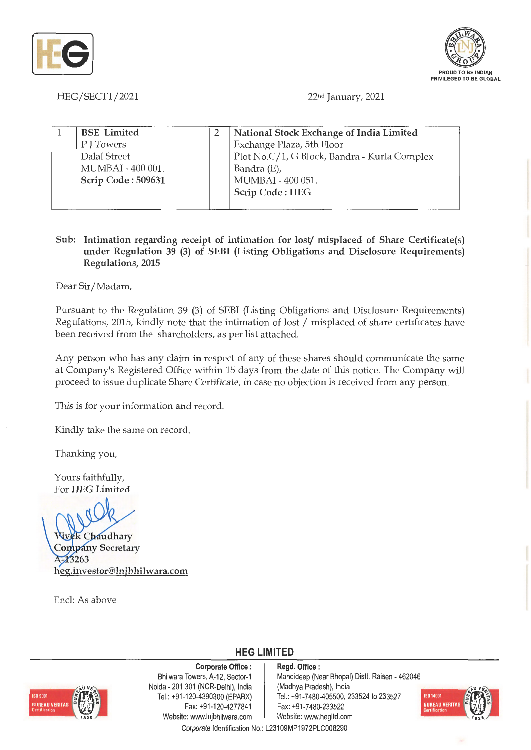



HEG/SECTT/2021

22nd January, 2021

| <b>BSE</b> Limited | National Stock Exchange of India Limited     |  |
|--------------------|----------------------------------------------|--|
| P J Towers         | Exchange Plaza, 5th Floor                    |  |
| Dalal Street       | Plot No.C/1, G Block, Bandra - Kurla Complex |  |
| MUMBAI - 400 001.  | Bandra (E),                                  |  |
| Scrip Code: 509631 | MUMBAI - 400 051.                            |  |
|                    | <b>Scrip Code: HEG</b>                       |  |
|                    |                                              |  |

## **Sub: Intimation regarding receipt of intimation for** lost/ **misplaced of Share Certificate(s) under Regulation 39 (3) of SEBI (Listing Obligations and Disclosure Requirements) Regulations, 2015**

Dear Sir/ Madam,

Pursuant to the Regulation 39 (3) of SEBI (Listing Obligations and Disclosure Requirements) Regulations, 2015, kindly note that the intimation of lost/ misplaced of share certificates have been received from the shareholders, as per list attached.

Any person who has any claim in respect of any of these shares should communicate the same at Company's Registered Office within 15 days from the date of this notice. The Company will proceed to issue duplicate Share Certificate, in case no objection is received from any person.

This is for your information and record.

Kindly take the same on record.

Thanking you,

Yours faithfully, For **HEG Limited** 

**ek** Chaudhary **Company Secretary** 1-13263 **heg.investor@lnjbhilwara.com** 

Encl: As above

**HEG LIMITED** 

## **Corporate Office** :



Bhilwara Towers, A-12, Sector-1 Naida - 201 301 (NCR-Delhi), India Tel.: +91-120-4390300 (EPABX) Fax: +91-120-4277841 Website: www.lnjbhilwara.com | Website: www.hegltd.com

**Regd. Office** : Mandideep (Near Bhopal) Dist!. Raisen - 462046 (Madhya Pradesh), India Tel.: +91-7480-405500, 233524 to 233527 Fax: +91-7480-233522 Corporate Identification No.: L23109MP1972PLC008290